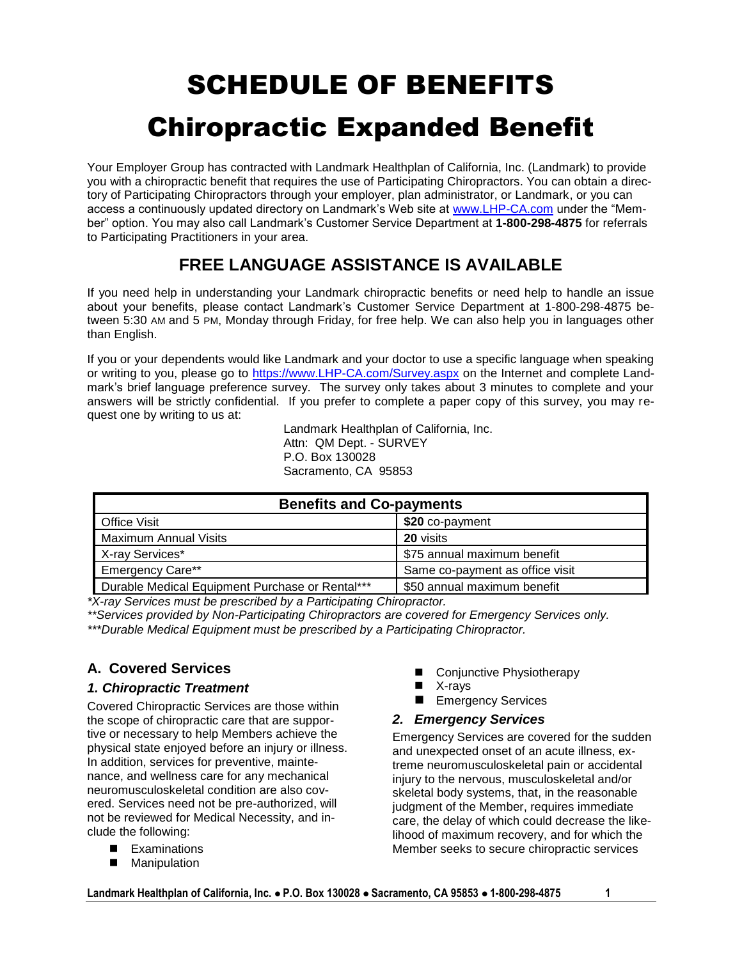# SCHEDULE OF BENEFITS Chiropractic Expanded Benefit

Your Employer Group has contracted with Landmark Healthplan of California, Inc. (Landmark) to provide you with a chiropractic benefit that requires the use of Participating Chiropractors. You can obtain a directory of Participating Chiropractors through your employer, plan administrator, or Landmark, or you can access a continuously updated directory on Landmark's Web site at [www.LHP-CA.com](http://www.lhp-ca.com/) under the "Member" option. You may also call Landmark's Customer Service Department at **1-800-298-4875** for referrals to Participating Practitioners in your area.

# **FREE LANGUAGE ASSISTANCE IS AVAILABLE**

If you need help in understanding your Landmark chiropractic benefits or need help to handle an issue about your benefits, please contact Landmark's Customer Service Department at 1-800-298-4875 between 5:30 AM and 5 PM, Monday through Friday, for free help. We can also help you in languages other than English.

If you or your dependents would like Landmark and your doctor to use a specific language when speaking or writing to you, please go to [https://www.LHP-CA.com/Survey.aspx](https://www.lhp-ca.com/Survey.aspx) on the Internet and complete Landmark's brief language preference survey. The survey only takes about 3 minutes to complete and your answers will be strictly confidential. If you prefer to complete a paper copy of this survey, you may request one by writing to us at:

> Landmark Healthplan of California, Inc. Attn: QM Dept. - SURVEY P.O. Box 130028 Sacramento, CA 95853

| <b>Benefits and Co-payments</b>                 |                                 |
|-------------------------------------------------|---------------------------------|
| <b>Office Visit</b>                             | \$20 co-payment                 |
| <b>Maximum Annual Visits</b>                    | 20 visits                       |
| X-ray Services*                                 | \$75 annual maximum benefit     |
| <b>Emergency Care**</b>                         | Same co-payment as office visit |
| Durable Medical Equipment Purchase or Rental*** | \$50 annual maximum benefit     |

*\*X-ray Services must be prescribed by a Participating Chiropractor.*

*\*\*Services provided by Non-Participating Chiropractors are covered for Emergency Services only. \*\*\*Durable Medical Equipment must be prescribed by a Participating Chiropractor.*

# **A. Covered Services**

# *1. Chiropractic Treatment*

Covered Chiropractic Services are those within the scope of chiropractic care that are supportive or necessary to help Members achieve the physical state enjoyed before an injury or illness. In addition, services for preventive, maintenance, and wellness care for any mechanical neuromusculoskeletal condition are also covered. Services need not be pre-authorized, will not be reviewed for Medical Necessity, and include the following:

- **EXaminations**
- **Manipulation**
- Conjunctive Physiotherapy
- X-rays
- **Emergency Services**

# *2. Emergency Services*

Emergency Services are covered for the sudden and unexpected onset of an acute illness, extreme neuromusculoskeletal pain or accidental injury to the nervous, musculoskeletal and/or skeletal body systems, that, in the reasonable judgment of the Member, requires immediate care, the delay of which could decrease the likelihood of maximum recovery, and for which the Member seeks to secure chiropractic services

**Landmark Healthplan of California, Inc. P.O. Box 130028 Sacramento, CA 95853 1-800-298-4875 1**